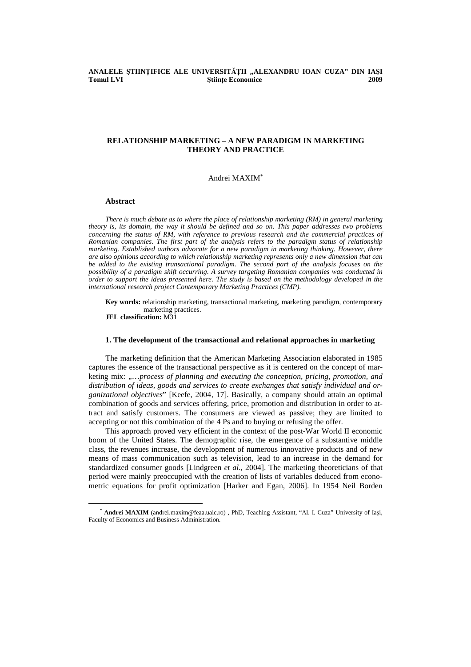### **ANALELE** Ş**TIIN**ł**IFICE ALE UNIVERSIT**Ăł**II "ALEXANDRU IOAN CUZA" DIN IA**Ş**I Tomul LVI Stiinte Economice** 2009

# **RELATIONSHIP MARKETING – A NEW PARADIGM IN MARKETING THEORY AND PRACTICE**

# Andrei MAXIM\*

#### **Abstract**

*There is much debate as to where the place of relationship marketing (RM) in general marketing theory is, its domain, the way it should be defined and so on. This paper addresses two problems concerning the status of RM, with reference to previous research and the commercial practices of Romanian companies. The first part of the analysis refers to the paradigm status of relationship marketing. Established authors advocate for a new paradigm in marketing thinking. However, there are also opinions according to which relationship marketing represents only a new dimension that can be added to the existing transactional paradigm. The second part of the analysis focuses on the possibility of a paradigm shift occurring. A survey targeting Romanian companies was conducted in order to support the ideas presented here. The study is based on the methodology developed in the international research project Contemporary Marketing Practices (CMP).* 

**Key words:** relationship marketing, transactional marketing, marketing paradigm, contemporary marketing practices.

**JEL classification:** M31

l

#### **1. The development of the transactional and relational approaches in marketing**

The marketing definition that the American Marketing Association elaborated in 1985 captures the essence of the transactional perspective as it is centered on the concept of marketing mix: ,....process of planning and executing the conception, pricing, promotion, and *distribution of ideas, goods and services to create exchanges that satisfy individual and organizational objectives*" [Keefe, 2004, 17]. Basically, a company should attain an optimal combination of goods and services offering, price, promotion and distribution in order to attract and satisfy customers. The consumers are viewed as passive; they are limited to accepting or not this combination of the 4 Ps and to buying or refusing the offer.

This approach proved very efficient in the context of the post-War World II economic boom of the United States. The demographic rise, the emergence of a substantive middle class, the revenues increase, the development of numerous innovative products and of new means of mass communication such as television, lead to an increase in the demand for standardized consumer goods [Lindgreen *et al.*, 2004]. The marketing theoreticians of that period were mainly preoccupied with the creation of lists of variables deduced from econometric equations for profit optimization [Harker and Egan, 2006]. In 1954 Neil Borden

<sup>\*</sup> **Andrei MAXIM** (andrei.maxim@feaa.uaic.ro) , PhD, Teaching Assistant, "Al. I. Cuza" University of Iaşi, Faculty of Economics and Business Administration.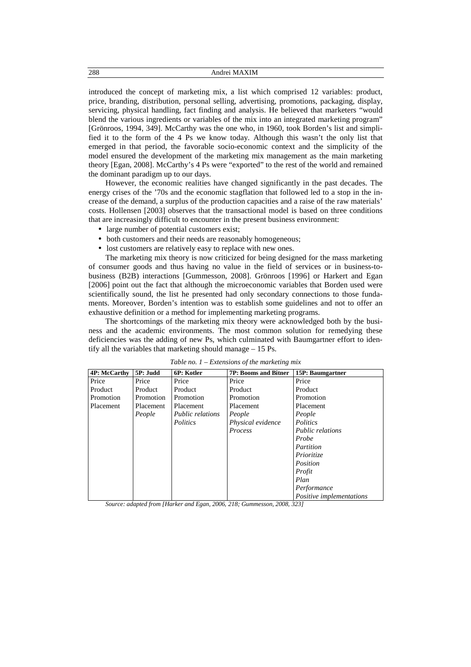introduced the concept of marketing mix, a list which comprised 12 variables: product, price, branding, distribution, personal selling, advertising, promotions, packaging, display, servicing, physical handling, fact finding and analysis. He believed that marketers "would blend the various ingredients or variables of the mix into an integrated marketing program" [Grönroos, 1994, 349]. McCarthy was the one who, in 1960, took Borden's list and simplified it to the form of the 4 Ps we know today. Although this wasn't the only list that emerged in that period, the favorable socio-economic context and the simplicity of the model ensured the development of the marketing mix management as the main marketing theory [Egan, 2008]. McCarthy's 4 Ps were "exported" to the rest of the world and remained the dominant paradigm up to our days.

However, the economic realities have changed significantly in the past decades. The energy crises of the '70s and the economic stagflation that followed led to a stop in the increase of the demand, a surplus of the production capacities and a raise of the raw materials' costs. Hollensen [2003] observes that the transactional model is based on three conditions that are increasingly difficult to encounter in the present business environment:

- large number of potential customers exist;
- both customers and their needs are reasonably homogeneous;
- lost customers are relatively easy to replace with new ones.

The marketing mix theory is now criticized for being designed for the mass marketing of consumer goods and thus having no value in the field of services or in business-tobusiness (B2B) interactions [Gummesson, 2008]. Grönroos [1996] or Harkert and Egan [2006] point out the fact that although the microeconomic variables that Borden used were scientifically sound, the list he presented had only secondary connections to those fundaments. Moreover, Borden's intention was to establish some guidelines and not to offer an exhaustive definition or a method for implementing marketing programs.

The shortcomings of the marketing mix theory were acknowledged both by the business and the academic environments. The most common solution for remedying these deficiencies was the adding of new Ps, which culminated with Baumgartner effort to identify all the variables that marketing should manage – 15 Ps.

| <b>4P: McCarthy</b> | 5P: Judd  | 6P: Kotler              | <b>7P: Booms and Bitner</b> | 15P: Baumgartner         |
|---------------------|-----------|-------------------------|-----------------------------|--------------------------|
| Price               | Price     | Price                   | Price                       | Price                    |
| Product             | Product   | Product                 | Product                     | Product                  |
| Promotion           | Promotion | Promotion               | Promotion                   | Promotion                |
| Placement           | Placement | Placement               | Placement                   | Placement                |
|                     | People    | <b>Public relations</b> | People                      | People                   |
|                     |           | Politics                | Physical evidence           | Politics                 |
|                     |           |                         | Process                     | <i>Public relations</i>  |
|                     |           |                         |                             | Probe                    |
|                     |           |                         |                             | Partition                |
|                     |           |                         |                             | Prioritize               |
|                     |           |                         |                             | Position                 |
|                     |           |                         |                             | Profit                   |
|                     |           |                         |                             | Plan                     |
|                     |           |                         |                             | Performance              |
|                     |           |                         |                             | Positive implementations |

*Table no. 1 – Extensions of the marketing mix* 

*Source: adapted from [Harker and Egan, 2006*, *218; Gummesson, 2008*, *323]*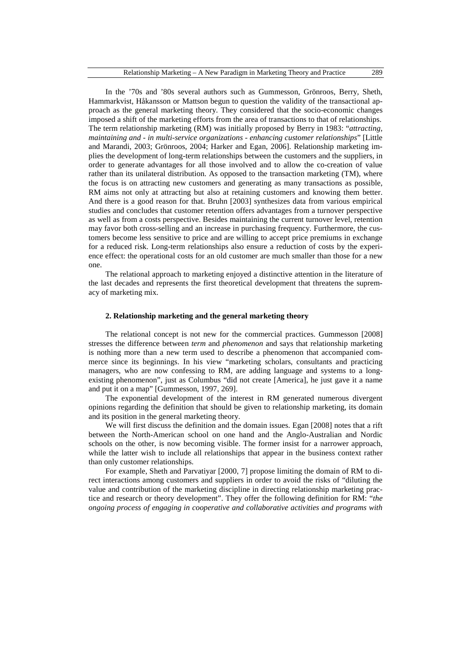In the '70s and '80s several authors such as Gummesson, Grönroos, Berry, Sheth, Hammarkvist, Håkansson or Mattson begun to question the validity of the transactional approach as the general marketing theory. They considered that the socio-economic changes imposed a shift of the marketing efforts from the area of transactions to that of relationships. The term relationship marketing (RM) was initially proposed by Berry in 1983: "*attracting, maintaining and - in multi-service organizations - enhancing customer relationships*" [Little and Marandi, 2003; Grönroos, 2004; Harker and Egan, 2006]. Relationship marketing implies the development of long-term relationships between the customers and the suppliers, in order to generate advantages for all those involved and to allow the co-creation of value rather than its unilateral distribution. As opposed to the transaction marketing (TM), where the focus is on attracting new customers and generating as many transactions as possible, RM aims not only at attracting but also at retaining customers and knowing them better. And there is a good reason for that. Bruhn [2003] synthesizes data from various empirical studies and concludes that customer retention offers advantages from a turnover perspective as well as from a costs perspective. Besides maintaining the current turnover level, retention may favor both cross-selling and an increase in purchasing frequency. Furthermore, the customers become less sensitive to price and are willing to accept price premiums in exchange for a reduced risk. Long-term relationships also ensure a reduction of costs by the experience effect: the operational costs for an old customer are much smaller than those for a new one.

The relational approach to marketing enjoyed a distinctive attention in the literature of the last decades and represents the first theoretical development that threatens the supremacy of marketing mix.

# **2. Relationship marketing and the general marketing theory**

The relational concept is not new for the commercial practices. Gummesson [2008] stresses the difference between *term* and *phenomenon* and says that relationship marketing is nothing more than a new term used to describe a phenomenon that accompanied commerce since its beginnings. In his view "marketing scholars, consultants and practicing managers, who are now confessing to RM, are adding language and systems to a longexisting phenomenon", just as Columbus "did not create [America], he just gave it a name and put it on a map" [Gummesson, 1997, 269].

The exponential development of the interest in RM generated numerous divergent opinions regarding the definition that should be given to relationship marketing, its domain and its position in the general marketing theory.

We will first discuss the definition and the domain issues. Egan [2008] notes that a rift between the North-American school on one hand and the Anglo-Australian and Nordic schools on the other, is now becoming visible. The former insist for a narrower approach, while the latter wish to include all relationships that appear in the business context rather than only customer relationships.

For example, Sheth and Parvatiyar [2000, 7] propose limiting the domain of RM to direct interactions among customers and suppliers in order to avoid the risks of "diluting the value and contribution of the marketing discipline in directing relationship marketing practice and research or theory development". They offer the following definition for RM: "*the ongoing process of engaging in cooperative and collaborative activities and programs with*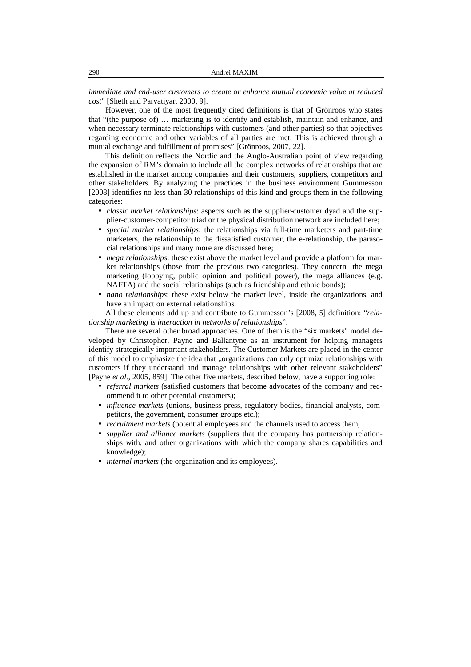| 290 | _____ |
|-----|-------|
|     |       |

*immediate and end-user customers to create or enhance mutual economic value at reduced cost*" [Sheth and Parvatiyar, 2000, 9].

However, one of the most frequently cited definitions is that of Grönroos who states that "(the purpose of) … marketing is to identify and establish, maintain and enhance, and when necessary terminate relationships with customers (and other parties) so that objectives regarding economic and other variables of all parties are met. This is achieved through a mutual exchange and fulfillment of promises" [Grönroos, 2007, 22].

This definition reflects the Nordic and the Anglo-Australian point of view regarding the expansion of RM's domain to include all the complex networks of relationships that are established in the market among companies and their customers, suppliers, competitors and other stakeholders. By analyzing the practices in the business environment Gummesson [2008] identifies no less than 30 relationships of this kind and groups them in the following categories:

- *classic market relationships*: aspects such as the supplier-customer dyad and the supplier-customer-competitor triad or the physical distribution network are included here;
- *special market relationships*: the relationships via full-time marketers and part-time marketers, the relationship to the dissatisfied customer, the e-relationship, the parasocial relationships and many more are discussed here;
- *mega relationships*: these exist above the market level and provide a platform for market relationships (those from the previous two categories). They concern the mega marketing (lobbying, public opinion and political power), the mega alliances (e.g. NAFTA) and the social relationships (such as friendship and ethnic bonds);
- *nano relationships*: these exist below the market level, inside the organizations, and have an impact on external relationships.

All these elements add up and contribute to Gummesson's [2008, 5] definition: "*relationship marketing is interaction in networks of relationships*".

There are several other broad approaches. One of them is the "six markets" model developed by Christopher, Payne and Ballantyne as an instrument for helping managers identify strategically important stakeholders. The Customer Markets are placed in the center of this model to emphasize the idea that "organizations can only optimize relationships with customers if they understand and manage relationships with other relevant stakeholders" [Payne *et al.*, 2005, 859]. The other five markets, described below, have a supporting role:

- *referral markets* (satisfied customers that become advocates of the company and recommend it to other potential customers);
- *influence markets* (unions, business press, regulatory bodies, financial analysts, competitors, the government, consumer groups etc.);
- *recruitment markets* (potential employees and the channels used to access them;
- *supplier and alliance markets* (suppliers that the company has partnership relationships with, and other organizations with which the company shares capabilities and knowledge);
- *internal markets* (the organization and its employees).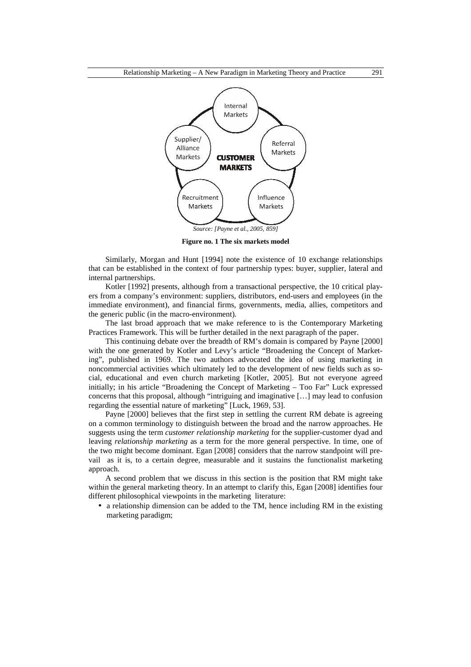

**Figure no. 1 The six markets model** 

Similarly, Morgan and Hunt [1994] note the existence of 10 exchange relationships that can be established in the context of four partnership types: buyer, supplier, lateral and internal partnerships.

Kotler [1992] presents, although from a transactional perspective, the 10 critical players from a company's environment: suppliers, distributors, end-users and employees (in the immediate environment), and financial firms, governments, media, allies, competitors and the generic public (in the macro-environment).

The last broad approach that we make reference to is the Contemporary Marketing Practices Framework. This will be further detailed in the next paragraph of the paper.

This continuing debate over the breadth of RM's domain is compared by Payne [2000] with the one generated by Kotler and Levy's article "Broadening the Concept of Marketing", published in 1969. The two authors advocated the idea of using marketing in noncommercial activities which ultimately led to the development of new fields such as social, educational and even church marketing [Kotler, 2005]. But not everyone agreed initially; in his article "Broadening the Concept of Marketing – Too Far" Luck expressed concerns that this proposal, although "intriguing and imaginative […] may lead to confusion regarding the essential nature of marketing" [Luck, 1969, 53].

Payne [2000] believes that the first step in settling the current RM debate is agreeing on a common terminology to distinguish between the broad and the narrow approaches. He suggests using the term *customer relationship marketing* for the supplier-customer dyad and leaving *relationship marketing* as a term for the more general perspective. In time, one of the two might become dominant. Egan [2008] considers that the narrow standpoint will prevail as it is, to a certain degree, measurable and it sustains the functionalist marketing approach.

A second problem that we discuss in this section is the position that RM might take within the general marketing theory. In an attempt to clarify this, Egan [2008] identifies four different philosophical viewpoints in the marketing literature:

• a relationship dimension can be added to the TM, hence including RM in the existing marketing paradigm;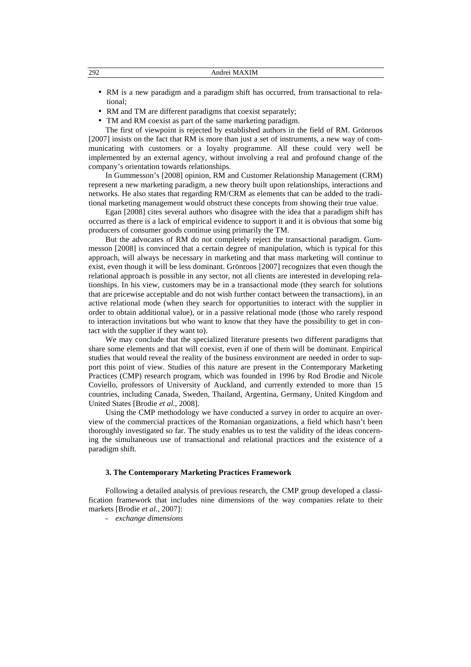| 292 | Andrei MAXIM                                                                                     |
|-----|--------------------------------------------------------------------------------------------------|
|     | • RM is a new paradigm and a paradigm shift has occurred, from transactional to rela-<br>tional: |

- RM and TM are different paradigms that coexist separately;
- TM and RM coexist as part of the same marketing paradigm.

The first of viewpoint is rejected by established authors in the field of RM. Grönroos [2007] insists on the fact that RM is more than just a set of instruments, a new way of communicating with customers or a loyalty programme. All these could very well be implemented by an external agency, without involving a real and profound change of the company's orientation towards relationships.

In Gummesson's [2008] opinion, RM and Customer Relationship Management (CRM) represent a new marketing paradigm, a new theory built upon relationships, interactions and networks. He also states that regarding RM/CRM as elements that can be added to the traditional marketing management would obstruct these concepts from showing their true value.

Egan [2008] cites several authors who disagree with the idea that a paradigm shift has occurred as there is a lack of empirical evidence to support it and it is obvious that some big producers of consumer goods continue using primarily the TM.

But the advocates of RM do not completely reject the transactional paradigm. Gummesson [2008] is convinced that a certain degree of manipulation, which is typical for this approach, will always be necessary in marketing and that mass marketing will continue to exist, even though it will be less dominant. Grönroos [2007] recognizes that even though the relational approach is possible in any sector, not all clients are interested in developing relationships. In his view, customers may be in a transactional mode (they search for solutions that are pricewise acceptable and do not wish further contact between the transactions), in an active relational mode (when they search for opportunities to interact with the supplier in order to obtain additional value), or in a passive relational mode (those who rarely respond to interaction invitations but who want to know that they have the possibility to get in contact with the supplier if they want to).

We may conclude that the specialized literature presents two different paradigms that share some elements and that will coexist, even if one of them will be dominant. Empirical studies that would reveal the reality of the business environment are needed in order to support this point of view. Studies of this nature are present in the Contemporary Marketing Practices (CMP) research program, which was founded in 1996 by Rod Brodie and Nicole Coviello, professors of University of Auckland, and currently extended to more than 15 countries, including Canada, Sweden, Thailand, Argentina, Germany, United Kingdom and United States [Brodie *et al.*, 2008].

Using the CMP methodology we have conducted a survey in order to acquire an overview of the commercial practices of the Romanian organizations, a field which hasn't been thoroughly investigated so far. The study enables us to test the validity of the ideas concerning the simultaneous use of transactional and relational practices and the existence of a paradigm shift.

### **3. The Contemporary Marketing Practices Framework**

Following a detailed analysis of previous research, the CMP group developed a classification framework that includes nine dimensions of the way companies relate to their markets [Brodie *et al.*, 2007]:

- *exchange dimensions*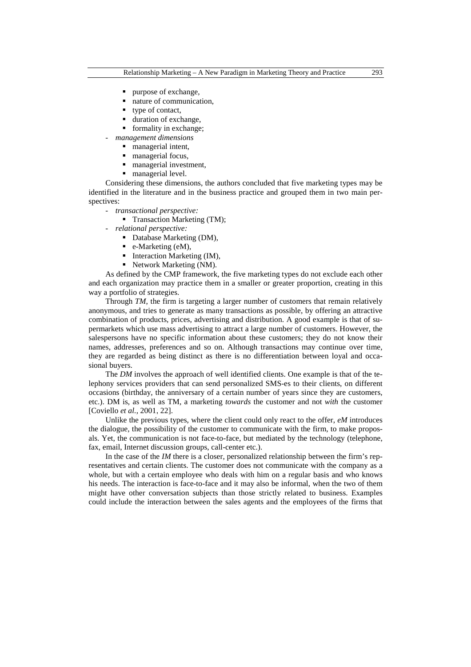- purpose of exchange,
- nature of communication,
- type of contact,
- duration of exchange,
- formality in exchange;
- *management dimensions* 
	- **managerial intent.**
	- managerial focus,
	- managerial investment,
	- managerial level.

Considering these dimensions, the authors concluded that five marketing types may be identified in the literature and in the business practice and grouped them in two main perspectives:

- *transactional perspective:* 
	- Transaction Marketing (TM);
- *relational perspective:* 
	- Database Marketing (DM),
	- $\bullet$  e-Marketing (eM),
	- $\blacksquare$  Interaction Marketing (IM),
	- Network Marketing (NM).

As defined by the CMP framework, the five marketing types do not exclude each other and each organization may practice them in a smaller or greater proportion, creating in this way a portfolio of strategies.

Through *TM*, the firm is targeting a larger number of customers that remain relatively anonymous, and tries to generate as many transactions as possible, by offering an attractive combination of products, prices, advertising and distribution. A good example is that of supermarkets which use mass advertising to attract a large number of customers. However, the salespersons have no specific information about these customers; they do not know their names, addresses, preferences and so on. Although transactions may continue over time, they are regarded as being distinct as there is no differentiation between loyal and occasional buyers.

The *DM* involves the approach of well identified clients. One example is that of the telephony services providers that can send personalized SMS-es to their clients, on different occasions (birthday, the anniversary of a certain number of years since they are customers, etc.). DM is, as well as TM, a marketing *towards* the customer and not *with* the customer [Coviello *et al.*, 2001, 22].

Unlike the previous types, where the client could only react to the offer, *eM* introduces the dialogue, the possibility of the customer to communicate with the firm, to make proposals. Yet, the communication is not face-to-face, but mediated by the technology (telephone, fax, email, Internet discussion groups, call-center etc.).

In the case of the *IM* there is a closer, personalized relationship between the firm's representatives and certain clients. The customer does not communicate with the company as a whole, but with a certain employee who deals with him on a regular basis and who knows his needs. The interaction is face-to-face and it may also be informal, when the two of them might have other conversation subjects than those strictly related to business. Examples could include the interaction between the sales agents and the employees of the firms that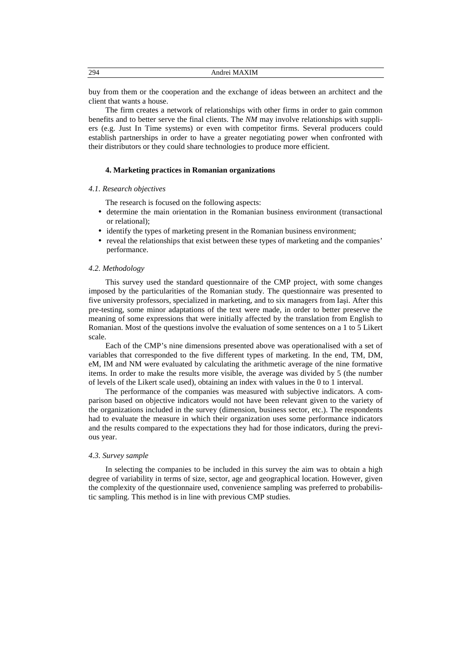| 294<br>__ | ΚIМ<br>$\mathcal{N}$<br>Andrei |  |
|-----------|--------------------------------|--|
|           |                                |  |

buy from them or the cooperation and the exchange of ideas between an architect and the client that wants a house.

The firm creates a network of relationships with other firms in order to gain common benefits and to better serve the final clients. The *NM* may involve relationships with suppliers (e.g. Just In Time systems) or even with competitor firms. Several producers could establish partnerships in order to have a greater negotiating power when confronted with their distributors or they could share technologies to produce more efficient.

### **4. Marketing practices in Romanian organizations**

### *4.1. Research objectives*

The research is focused on the following aspects:

- determine the main orientation in the Romanian business environment (transactional or relational);
- identify the types of marketing present in the Romanian business environment;
- reveal the relationships that exist between these types of marketing and the companies' performance.

### *4.2. Methodology*

This survey used the standard questionnaire of the CMP project, with some changes imposed by the particularities of the Romanian study. The questionnaire was presented to five university professors, specialized in marketing, and to six managers from Iaşi. After this pre-testing, some minor adaptations of the text were made, in order to better preserve the meaning of some expressions that were initially affected by the translation from English to Romanian. Most of the questions involve the evaluation of some sentences on a 1 to 5 Likert scale.

Each of the CMP's nine dimensions presented above was operationalised with a set of variables that corresponded to the five different types of marketing. In the end, TM, DM, eM, IM and NM were evaluated by calculating the arithmetic average of the nine formative items. In order to make the results more visible, the average was divided by 5 (the number of levels of the Likert scale used), obtaining an index with values in the 0 to 1 interval.

The performance of the companies was measured with subjective indicators. A comparison based on objective indicators would not have been relevant given to the variety of the organizations included in the survey (dimension, business sector, etc.). The respondents had to evaluate the measure in which their organization uses some performance indicators and the results compared to the expectations they had for those indicators, during the previous year.

### *4.3. Survey sample*

In selecting the companies to be included in this survey the aim was to obtain a high degree of variability in terms of size, sector, age and geographical location. However, given the complexity of the questionnaire used, convenience sampling was preferred to probabilistic sampling. This method is in line with previous CMP studies.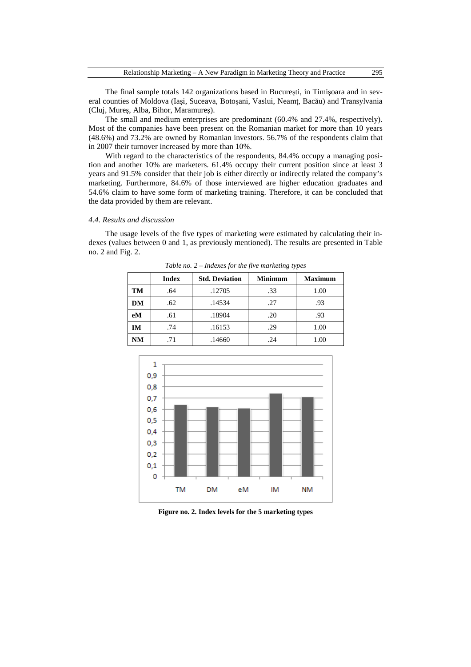The final sample totals 142 organizations based in Bucureşti, in Timişoara and in several counties of Moldova (Iași, Suceava, Botoșani, Vaslui, Neamț, Bacău) and Transylvania (Cluj, Mureş, Alba, Bihor, Maramureş).

The small and medium enterprises are predominant (60.4% and 27.4%, respectively). Most of the companies have been present on the Romanian market for more than 10 years (48.6%) and 73.2% are owned by Romanian investors. 56.7% of the respondents claim that in 2007 their turnover increased by more than 10%.

With regard to the characteristics of the respondents, 84.4% occupy a managing position and another 10% are marketers. 61.4% occupy their current position since at least 3 years and 91.5% consider that their job is either directly or indirectly related the company's marketing. Furthermore, 84.6% of those interviewed are higher education graduates and 54.6% claim to have some form of marketing training. Therefore, it can be concluded that the data provided by them are relevant.

# *4.4. Results and discussion*

The usage levels of the five types of marketing were estimated by calculating their indexes (values between 0 and 1, as previously mentioned). The results are presented in Table no. 2 and Fig. 2.

|           | <b>Index</b> | <b>Std. Deviation</b> | <b>Minimum</b> | <b>Maximum</b> |
|-----------|--------------|-----------------------|----------------|----------------|
| <b>TM</b> | .64          | .12705                | .33            | 1.00           |
| DM        | .62          | .14534                | .27            | .93            |
| eM        | .61          | .18904                | .20            | .93            |
| IM        | .74          | .16153                | .29            | 1.00           |
| <b>NM</b> | .71          | .14660                | .24            | $1.00\,$       |

*Table no. 2 – Indexes for the five marketing types* 



**Figure no. 2. Index levels for the 5 marketing types**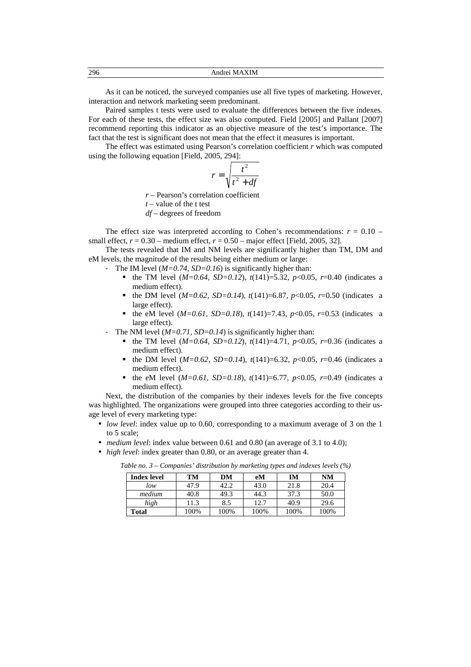296 Andrei MAXIM

As it can be noticed, the surveyed companies use all five types of marketing. However, interaction and network marketing seem predominant.

Paired samples t tests were used to evaluate the differences between the five indexes. For each of these tests, the effect size was also computed. Field [2005] and Pallant [2007] recommend reporting this indicator as an objective measure of the test's importance. The fact that the test is significant does not mean that the effect it measures is important.

The effect was estimated using Pearson's correlation coefficient *r* which was computed using the following equation [Field, 2005, 294]:

$$
r = \sqrt{\frac{t^2}{t^2 + df}}
$$

*r* – Pearson's correlation coefficient

- *t* value of the t test
- *df* degrees of freedom

The effect size was interpreted according to Cohen's recommendations:  $r = 0.10$  – small effect,  $r = 0.30$  – medium effect,  $r = 0.50$  – major effect [Field, 2005, 32].

The tests revealed that IM and NM levels are significantly higher than TM, DM and eM levels, the magnitude of the results being either medium or large:

- The IM level ( $M=0.74$ , SD=0.16) is significantly higher than:
	- the TM level  $(M=0.64, SD=0.12)$ ,  $t(141)=5.32, p<0.05, r=0.40$  (indicates a medium effect).
	- the DM level ( $M=0.62$ ,  $SD=0.14$ ),  $t(141)=6.87$ ,  $p<0.05$ ,  $r=0.50$  (indicates a large effect).
	- the eM level (*M=0.61, SD=0.18*), *t*(141)=7.43, *p*<0.05, *r*=0.53 (indicates a large effect).
	- The NM level  $(M=0.71, SD=0.14)$  is significantly higher than:
		- the TM level  $(M=0.64, SD=0.12)$ ,  $t(141)=4.71$ ,  $p<0.05$ ,  $r=0.36$  (indicates a medium effect).
		- the DM level (*M=0.62, SD=0.14*), *t*(141)=6.32, *p*<0.05, *r*=0.46 (indicates a medium effect).
		- the eM level  $(M=0.61, SD=0.18)$ ,  $t(141)=6.77$ ,  $p<0.05$ ,  $r=0.49$  (indicates a medium effect).

Next, the distribution of the companies by their indexes levels for the five concepts was highlighted. The organizations were grouped into three categories according to their usage level of every marketing type:

- *low level*: index value up to 0.60, corresponding to a maximum average of 3 on the 1 to 5 scale;
- *medium level*: index value between 0.61 and 0.80 (an average of 3.1 to 4.0);
- *high level*: index greater than 0.80, or an average greater than 4.

| <b>Index level</b> | TM   | DМ   | eM   | IМ   | NΜ   |
|--------------------|------|------|------|------|------|
| low                | 47.9 | 42.2 | 43.0 | 21.8 | 20.4 |
| medium             | 40.8 | 49.3 | 44.3 | 37.3 | 50.0 |
| high               | 11.3 | 8.5  | 12.7 | 40.9 | 29.6 |
| Total              | 100% | 100% | 100% | 100% | 100% |

*Table no. 3 – Companies' distribution by marketing types and indexes levels (%)*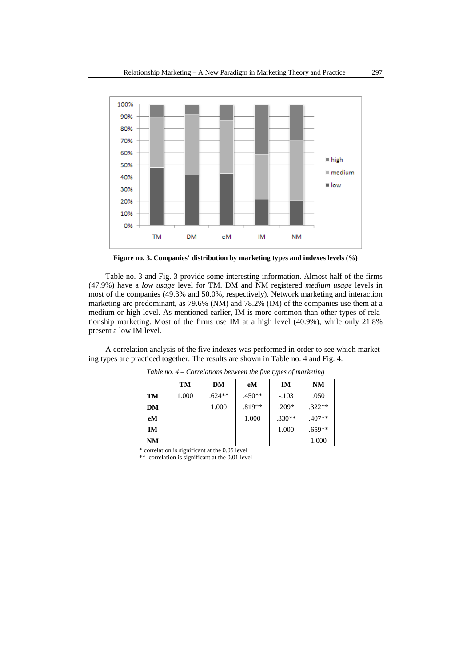

**Figure no. 3. Companies' distribution by marketing types and indexes levels (%)** 

Table no. 3 and Fig. 3 provide some interesting information. Almost half of the firms (47.9%) have a *low usage* level for TM. DM and NM registered *medium usage* levels in most of the companies (49.3% and 50.0%, respectively). Network marketing and interaction marketing are predominant, as 79.6% (NM) and 78.2% (IM) of the companies use them at a medium or high level. As mentioned earlier, IM is more common than other types of relationship marketing. Most of the firms use IM at a high level (40.9%), while only 21.8% present a low IM level.

A correlation analysis of the five indexes was performed in order to see which marketing types are practiced together. The results are shown in Table no. 4 and Fig. 4.

|           | TM    | DM       | eM       | IM       | <b>NM</b> |
|-----------|-------|----------|----------|----------|-----------|
| TM        | 1.000 | $.624**$ | $.450**$ | $-.103$  | .050      |
| DM        |       | 1.000    | $.819**$ | $.209*$  | $.322**$  |
| eM        |       |          | 1.000    | $.330**$ | $.407**$  |
| IM        |       |          |          | 1.000    | $.659**$  |
| <b>NM</b> |       |          |          |          | 1.000     |

*Table no. 4 – Correlations between the five types of marketing* 

\* correlation is significant at the 0.05 level

\*\* correlation is significant at the 0.01 level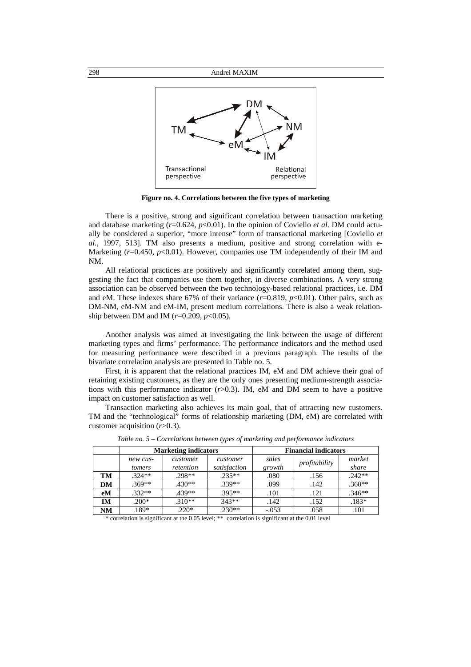

**Figure no. 4. Correlations between the five types of marketing** 

There is a positive, strong and significant correlation between transaction marketing and database marketing (*r*=0.624, *p*<0.01). In the opinion of Coviello *et al.* DM could actually be considered a superior, "more intense" form of transactional marketing [Coviello *et al.*, 1997, 513]. TM also presents a medium, positive and strong correlation with e-Marketing  $(r=0.450, p<0.01)$ . However, companies use TM independently of their IM and NM.

All relational practices are positively and significantly correlated among them, suggesting the fact that companies use them together, in diverse combinations. A very strong association can be observed between the two technology-based relational practices, i.e. DM and eM. These indexes share 67% of their variance (*r*=0.819, *p*<0.01). Other pairs, such as DM-NM, eM-NM and eM-IM, present medium correlations. There is also a weak relationship between DM and IM  $(r=0.209, p<0.05)$ .

Another analysis was aimed at investigating the link between the usage of different marketing types and firms' performance. The performance indicators and the method used for measuring performance were described in a previous paragraph. The results of the bivariate correlation analysis are presented in Table no. 5.

First, it is apparent that the relational practices IM, eM and DM achieve their goal of retaining existing customers, as they are the only ones presenting medium-strength associations with this performance indicator (*r*>0.3). IM, eM and DM seem to have a positive impact on customer satisfaction as well.

Transaction marketing also achieves its main goal, that of attracting new customers. TM and the "technological" forms of relationship marketing (DM, eM) are correlated with customer acquisition (*r*>0.3).

|    | <b>Marketing indicators</b> |                       |                          | <b>Financial indicators</b> |               |                 |
|----|-----------------------------|-----------------------|--------------------------|-----------------------------|---------------|-----------------|
|    | new cus-<br>tomers          | customer<br>retention | customer<br>satisfaction | sales<br>growth             | profitability | market<br>share |
| TM | $.324**$                    | .298**                | $.235**$                 | .080                        | .156          | $.242**$        |
| DM | $.369**$                    | $.430**$              | .339**                   | .099                        | .142          | $.360**$        |
| eM | $.332**$                    | .439**                | $.395**$                 | .101                        | .121          | $.346**$        |
| IΜ | $.200*$                     | $.310**$              | $343**$                  | .142                        | .152          | $.183*$         |
| NΜ | .189*                       | $.220*$               | $.230**$                 | $-.053$                     | .058          | .101            |

*Table no. 5 – Correlations between types of marketing and performance indicators* 

\* correlation is significant at the 0.05 level; \*\* correlation is significant at the 0.01 level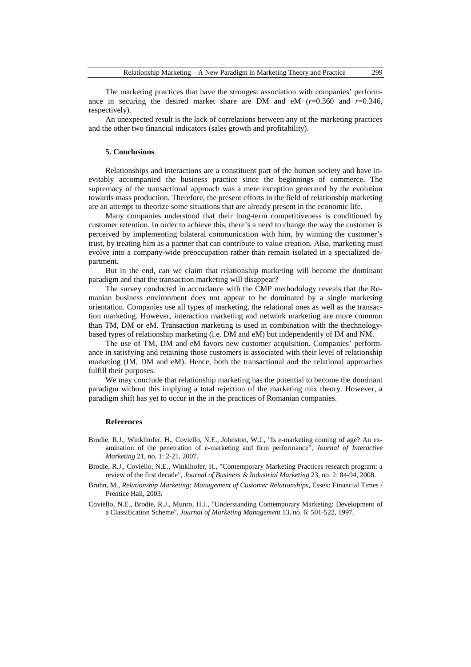The marketing practices that have the strongest association with companies' performance in securing the desired market share are DM and  $eM$  ( $r=0.360$  and  $r=0.346$ , respectively).

An unexpected result is the lack of correlations between any of the marketing practices and the other two financial indicators (sales growth and profitability).

# **5. Conclusions**

Relationships and interactions are a constituent part of the human society and have inevitably accompanied the business practice since the beginnings of commerce. The supremacy of the transactional approach was a mere exception generated by the evolution towards mass production. Therefore, the present efforts in the field of relationship marketing are an attempt to theorize some situations that are already present in the economic life.

Many companies understood that their long-term competitiveness is conditioned by customer retention. In order to achieve this, there's a need to change the way the customer is perceived by implementing bilateral communication with him, by winning the customer's trust, by treating him as a partner that can contribute to value creation. Also, marketing must evolve into a company-wide preoccupation rather than remain isolated in a specialized department.

But in the end, can we claim that relationship marketing will become the dominant paradigm and that the transaction marketing will disappear?

The survey conducted in accordance with the CMP methodology reveals that the Romanian business environment does not appear to be dominated by a single marketing orientation. Companies use all types of marketing, the relational ones as well as the transaction marketing. However, interaction marketing and network marketing are more common than TM, DM or eM. Transaction marketing is used in combination with the thechnologybased types of relationship marketing (i.e. DM and eM) but independently of IM and NM.

The use of TM, DM and eM favors new customer acquisition. Companies' performance in satisfying and retaining those customers is associated with their level of relationship marketing (IM, DM and eM). Hence, both the transactional and the relational approaches fulfill their purposes.

We may conclude that relationship marketing has the potential to become the dominant paradigm without this implying a total rejection of the marketing mix theory. However, a paradigm shift has yet to occur in the in the practices of Romanian companies.

#### **References**

- Brodie, R.J., Winklhofer, H., Coviello, N.E., Johnston, W.J., "Is e-marketing coming of age? An examination of the penetration of e-marketing and firm performance", *Journal of Interactive Marketing* 21, no. 1: 2-21, 2007.
- Brodie, R.J., Coviello, N.E., Winklhofer, H., "Contemporary Marketing Practices research program: a review of the first decade", *Journal of Business & Industrial Marketing* 23, no. 2: 84-94, 2008.
- Bruhn, M., *Relationship Marketing: Management of Customer Relationships*, Essex: Financial Times / Prentice Hall, 2003.
- Coviello, N.E., Brodie, R.J., Munro, H.J., "Understanding Contemporary Marketing: Development of a Classification Scheme", *Journal of Marketing Management* 13, no. 6: 501-522, 1997.